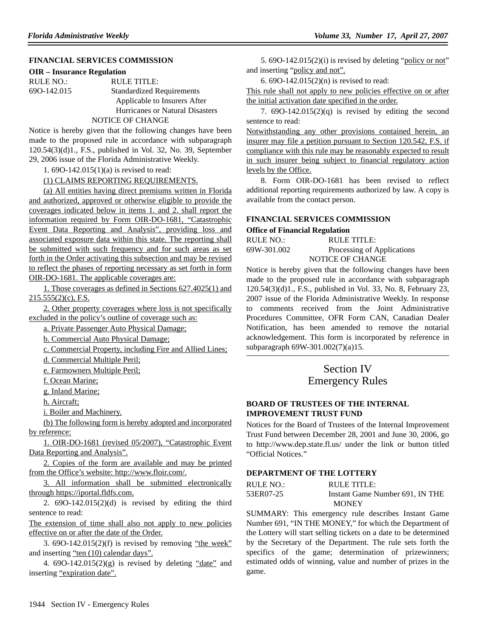#### **FINANCIAL SERVICES COMMISSION**

#### **OIR – Insurance Regulation**

| RULE NO.:   | RULE TITLE:                      |
|-------------|----------------------------------|
| 690-142.015 | <b>Standardized Requirements</b> |
|             | Applicable to Insurers After     |
|             | Hurricanes or Natural Disasters  |
|             | NOTICE OF CHANGE                 |

Notice is hereby given that the following changes have been made to the proposed rule in accordance with subparagraph 120.54(3)(d)1., F.S., published in Vol. 32, No. 39, September 29, 2006 issue of the Florida Administrative Weekly.

1. 69O-142.015(1)(a) is revised to read:

#### (1) CLAIMS REPORTING REQUIREMENTS.

(a) All entities having direct premiums written in Florida and authorized, approved or otherwise eligible to provide the coverages indicated below in items 1. and 2. shall report the information required by Form OIR-DO-1681, "Catastrophic Event Data Reporting and Analysis", providing loss and associated exposure data within this state. The reporting shall be submitted with such frequency and for such areas as set forth in the Order activating this subsection and may be revised to reflect the phases of reporting necessary as set forth in form OIR-DO-1681. The applicable coverages are:

1. Those coverages as defined in Sections 627.4025(1) and  $215.555(2)$ (c), F.S.

2. Other property coverages where loss is not specifically excluded in the policy's outline of coverage such as:

a. Private Passenger Auto Physical Damage;

b. Commercial Auto Physical Damage;

c. Commercial Property, including Fire and Allied Lines;

d. Commercial Multiple Peril;

e. Farmowners Multiple Peril;

f. Ocean Marine;

g. Inland Marine;

h. Aircraft;

i. Boiler and Machinery.

(b) The following form is hereby adopted and incorporated by reference:

1. OIR-DO-1681 (revised 05/2007), "Catastrophic Event Data Reporting and Analysis".

2. Copies of the form are available and may be printed from the Office's website: http://www.floir.com/.

3. All information shall be submitted electronically through https://iportal.fldfs.com.

2. 69O-142.015(2)(d) is revised by editing the third sentence to read:

The extension of time shall also not apply to new policies effective on or after the date of the Order.

3.  $69O-142.015(2)(f)$  is revised by removing "the week" and inserting "ten (10) calendar days".

4.  $69O-142.015(2)(g)$  is revised by deleting "date" and inserting "expiration date".

5. 69O-142.015(2)(i) is revised by deleting "policy or not" and inserting "policy and not".

6. 69O-142.015(2)(n) is revised to read:

This rule shall not apply to new policies effective on or after the initial activation date specified in the order.

7.  $69O-142.015(2)(q)$  is revised by editing the second sentence to read:

Notwithstanding any other provisions contained herein, an insurer may file a petition pursuant to Section 120.542, F.S. if compliance with this rule may be reasonably expected to result in such insurer being subject to financial regulatory action levels by the Office.

8. Form OIR-DO-1681 has been revised to reflect additional reporting requirements authorized by law. A copy is available from the contact person.

## **FINANCIAL SERVICES COMMISSION**

#### **Office of Financial Regulation**

| RULE NO.:   | RULE TITLE:                |
|-------------|----------------------------|
| 69W-301.002 | Processing of Applications |
|             | NOTICE OF CHANGE           |

Notice is hereby given that the following changes have been made to the proposed rule in accordance with subparagraph 120.54(3)(d)1., F.S., published in Vol. 33, No. 8, February 23, 2007 issue of the Florida Administrative Weekly. In response to comments received from the Joint Administrative Procedures Committee, OFR Form CAN, Canadian Dealer Notification, has been amended to remove the notarial acknowledgement. This form is incorporated by reference in subparagraph 69W-301.002(7)(a)15.

## Section IV Emergency Rules

## **BOARD OF TRUSTEES OF THE INTERNAL IMPROVEMENT TRUST FUND**

Notices for the Board of Trustees of the Internal Improvement Trust Fund between December 28, 2001 and June 30, 2006, go to http://www.dep.state.fl.us/ under the link or button titled "Official Notices."

## **DEPARTMENT OF THE LOTTERY**

| RULE NO.: | RULE TITLE:                     |
|-----------|---------------------------------|
| 53ER07-25 | Instant Game Number 691, IN THE |
|           | <b>MONEY</b>                    |

SUMMARY: This emergency rule describes Instant Game Number 691, "IN THE MONEY," for which the Department of the Lottery will start selling tickets on a date to be determined by the Secretary of the Department. The rule sets forth the specifics of the game; determination of prizewinners; estimated odds of winning, value and number of prizes in the game.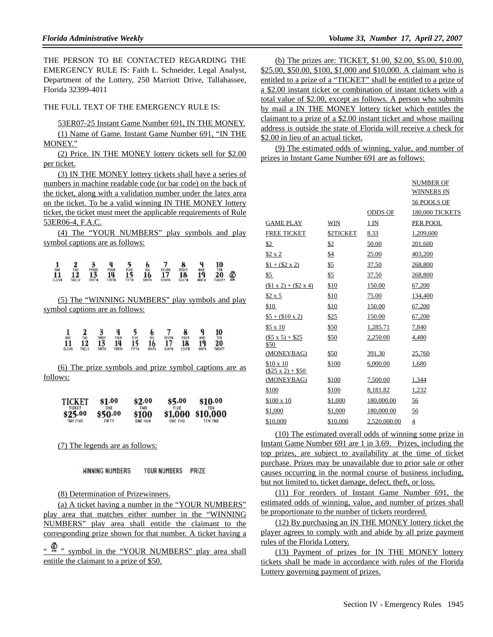THE PERSON TO BE CONTACTED REGARDING THE EMERGENCY RULE IS: Faith L. Schneider, Legal Analyst, Department of the Lottery, 250 Marriott Drive, Tallahassee, Florida 32399-4011

#### THE FULL TEXT OF THE EMERGENCY RULE IS:

53ER07-25 Instant Game Number 691, IN THE MONEY. (1) Name of Game. Instant Game Number 691, "IN THE

MONEY."

(2) Price. IN THE MONEY lottery tickets sell for \$2.00 per ticket.

(3) IN THE MONEY lottery tickets shall have a series of numbers in machine readable code (or bar code) on the back of the ticket, along with a validation number under the latex area on the ticket. To be a valid winning IN THE MONEY lottery ticket, the ticket must meet the applicable requirements of Rule 53ER06-4, F.A.C.

(4) The "YOUR NUMBERS" play symbols and play symbol captions are as follows:

| ONE<br>ELEVN                    | тно<br><b>THELV</b> | THREE<br>THRTN | FOUR<br>14<br><b>FORTN</b> | <b>FIVE</b><br>15<br><b>FIFTN</b> | SIX<br>SIXTN | <b>SEVEN</b><br>SUNTN | EIGHT<br>18<br><b>EGHTN</b> | NINE<br>19<br><b>NINTN</b> | 10<br><b>TEN</b><br>THENTY | S.<br>HIN                                       |
|---------------------------------|---------------------|----------------|----------------------------|-----------------------------------|--------------|-----------------------|-----------------------------|----------------------------|----------------------------|-------------------------------------------------|
| symbol captions are as follows: |                     |                |                            |                                   |              |                       |                             |                            |                            | (5) The "WINNING NUMBERS" play symbols and play |

|       |                 | J     |       |       | O     |              | O<br>O | O           | 10     |
|-------|-----------------|-------|-------|-------|-------|--------------|--------|-------------|--------|
| ONE   | TH <sub>0</sub> | THREE | FOUR  | FIVE  | SIX   | <b>SEVEN</b> | EIGHT  | <b>NINE</b> | TEN    |
| 11    | 12              | 13    | 14    | 15    | 16    |              | 18     | 19          | 20     |
| ELEVN | THELV           | THRTN | FORTN | FIFTN | SIXTN | <b>SVNTN</b> | EGHTN  | NINTN       | THENTY |

(6) The prize symbols and prize symbol captions are as follows:

| <b>TICKET</b>            | \$1.00         | \$2.00             | \$5.00      | \$10.00          |
|--------------------------|----------------|--------------------|-------------|------------------|
| <b>TICKET</b><br>\$25.00 | ONE<br>\$50.00 | тыо<br><b>s100</b> | <b>FIVE</b> | \$1,000 \$10,000 |
| <b>THY FIVE</b>          | <b>FIFTY</b>   | ONE HUN            | ONE THO     | TEN THO          |

(7) The legends are as follows:

**HINNING NUMBERS** YOUR NUMBERS PRIZE

(8) Determination of Prizewinners.

(a) A ticket having a number in the "YOUR NUMBERS" play area that matches either number in the "WINNING NUMBERS" play area shall entitle the claimant to the corresponding prize shown for that number. A ticket having a

" \* \* \* symbol in the "YOUR NUMBERS" play area shall entitle the claimant to a prize of \$50.

(b) The prizes are: TICKET, \$1.00, \$2.00, \$5.00, \$10.00, \$25.00, \$50.00, \$100, \$1,000 and \$10,000. A claimant who is entitled to a prize of a "TICKET" shall be entitled to a prize of a \$2.00 instant ticket or combination of instant tickets with a total value of \$2.00, except as follows. A person who submits by mail a IN THE MONEY lottery ticket which entitles the claimant to a prize of a \$2.00 instant ticket and whose mailing address is outside the state of Florida will receive a check for \$2.00 in lieu of an actual ticket.

(9) The estimated odds of winning, value, and number of prizes in Instant Game Number 691 are as follows:

|                                           |           |              | <b>NUMBER OF</b>         |
|-------------------------------------------|-----------|--------------|--------------------------|
|                                           |           |              | <b>WINNERS IN</b>        |
|                                           |           |              | 56 POOLS OF              |
|                                           |           | ODDS OF      | 180,000 TICKETS          |
| <b>GAME PLAY</b>                          | WIN       | 1 IN         | PER POOL                 |
| <b>FREE TICKET</b>                        | \$2TICKET | 8.33         | 1,209,600                |
| \$2                                       | \$2       | 50.00        | 201,600                  |
| \$2 x 2                                   | \$4       | 25.00        | 403,200                  |
| $$1 + ($2 \times 2)$                      | \$5       | 37.50        | 268,800                  |
| \$5                                       | \$5       | 37.50        | 268,800                  |
| $($1 x 2) + ($2 x 4)$                     | \$10      | 150.00       | 67,200                   |
| \$2 x 5                                   | \$10      | 75.00        | 134,400                  |
| \$10                                      | \$10      | 150.00       | 67,200                   |
| $$5 + (10 \times 2)$                      | \$25      | 150.00       | 67,200                   |
| $$5 \times 10$                            | \$50      | 1,285.71     | 7,840                    |
| $($5 x 5) + $25$<br>\$50                  | \$50      | 2,250.00     | 4,480                    |
| (MONEYBAG)                                | \$50      | 391.30       | 25,760                   |
| $$10 \times 10$<br>$($25 \times 2) + $50$ | \$100     | 6,000.00     | 1,680                    |
| (MONEYBAG)                                | \$100     | 7,500.00     | 1,344                    |
| \$100                                     | \$100     | 8,181.82     | 1,232                    |
| $$100 \times 10$                          | \$1,000   | 180,000.00   | 56                       |
| \$1,000                                   | \$1,000   | 180,000.00   | 56                       |
| \$10,000                                  | \$10,000  | 2,520,000.00 | $\overline{\mathcal{L}}$ |

(10) The estimated overall odds of winning some prize in Instant Game Number 691 are 1 in 3.69. Prizes, including the top prizes, are subject to availability at the time of ticket purchase. Prizes may be unavailable due to prior sale or other causes occurring in the normal course of business including, but not limited to, ticket damage, defect, theft, or loss.

(11) For reorders of Instant Game Number 691, the estimated odds of winning, value, and number of prizes shall be proportionate to the number of tickets reordered.

(12) By purchasing an IN THE MONEY lottery ticket the player agrees to comply with and abide by all prize payment rules of the Florida Lottery.

(13) Payment of prizes for IN THE MONEY lottery tickets shall be made in accordance with rules of the Florida Lottery governing payment of prizes.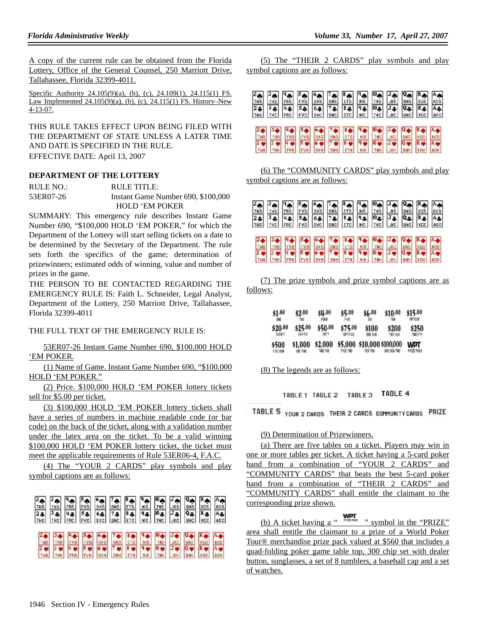A copy of the current rule can be obtained from the Florida Lottery, Office of the General Counsel, 250 Marriott Drive, Tallahassee, Florida 32399-4011.

Specific Authority 24.105(9)(a), (b), (c), 24.109(1), 24.115(1) FS. Law Implemented 24.105(9)(a), (b), (c), 24.115(1) FS. History–New 4-13-07.

THIS RULE TAKES EFFECT UPON BEING FILED WITH THE DEPARTMENT OF STATE UNLESS A LATER TIME AND DATE IS SPECIFIED IN THE RULE. EFFECTIVE DATE: April 13, 2007

## **DEPARTMENT OF THE LOTTERY**

RULE NO.: RULE TITLE: 53ER07-26 Instant Game Number 690, \$100,000 HOLD 'EM POKER

SUMMARY: This emergency rule describes Instant Game Number 690, "\$100,000 HOLD 'EM POKER," for which the Department of the Lottery will start selling tickets on a date to be determined by the Secretary of the Department. The rule sets forth the specifics of the game; determination of prizewinners; estimated odds of winning, value and number of prizes in the game.

THE PERSON TO BE CONTACTED REGARDING THE EMERGENCY RULE IS: Faith L. Schneider, Legal Analyst, Department of the Lottery, 250 Marriott Drive, Tallahassee, Florida 32399-4011

#### THE FULL TEXT OF THE EMERGENCY RULE IS:

53ER07-26 Instant Game Number 690, \$100,000 HOLD 'EM POKER.

(1) Name of Game. Instant Game Number 690, "\$100,000 HOLD 'EM POKER."

(2) Price. \$100,000 HOLD 'EM POKER lottery tickets sell for \$5.00 per ticket.

(3) \$100,000 HOLD 'EM POKER lottery tickets shall have a series of numbers in machine readable code (or bar code) on the back of the ticket, along with a validation number under the latex area on the ticket. To be a valid winning \$100,000 HOLD 'EM POKER lottery ticket, the ticket must meet the applicable requirements of Rule 53ER06-4, F.A.C.

(4) The "YOUR 2 CARDS" play symbols and play symbol captions are as follows:

| TMS<br>$\frac{2}{T}$ | <b>THS</b><br>$3 - 2$<br>THC | FRS<br>$\frac{H_{\bullet}}{FRC}$ | $\frac{1}{1}$<br>$5.8$<br>FVC | $\begin{array}{c}\n6 \\ \hline\n\text{S} \times \text{S} \\ \hline\n6 \text{S} \times \text{C}\n\end{array}$ |                          | $\begin{array}{c}\n7 \uparrow \\ \hline\n\text{SNS} \\ \hline\n7 \uparrow \\ \hline\n\text{SNC}\n\end{array}\n\quad\n\begin{array}{c}\n8 \uparrow \\ \hline\n\text{ETS} \\ \hline\n\text{B} \uparrow \\ \hline\n\text{SNC}\n\end{array}$ | $\frac{\Phi}{\frac{N}{2N}}$<br>$\begin{array}{c} \n\text{Q} \cdot \text{Q} \\ \text{NIC}\n\end{array}$ | $\frac{10}{1}$<br>$\frac{10}{TNC}$              | $rac{1}{\sqrt{2}}$<br>$J$ $\frac{1}{2}$ | <b>OA</b><br>$Q_{\clubsuit}$ | $k_{GS}$<br>$K_{\frac{1}{2}}$ | ACS<br>$A_{\bullet}$ |
|----------------------|------------------------------|----------------------------------|-------------------------------|--------------------------------------------------------------------------------------------------------------|--------------------------|------------------------------------------------------------------------------------------------------------------------------------------------------------------------------------------------------------------------------------------|--------------------------------------------------------------------------------------------------------|-------------------------------------------------|-----------------------------------------|------------------------------|-------------------------------|----------------------|
| THD                  |                              |                                  | 5 <sub>o</sub>                | <b>SXD</b><br><b>SXH</b>                                                                                     | <b>SND</b><br><b>SNH</b> | $rac{8}{ETD}$<br>$8$ $\bullet$<br>ETH                                                                                                                                                                                                    | $\frac{4}{N10}$<br>$\frac{9}{N \times N}$                                                              | $\frac{10}{10}$<br>$\frac{10}{2}$<br><b>TNH</b> | <b>JKD</b><br>J @<br><b>JKH</b>         | QND<br>ONH                   | KGD                           | A co                 |

(5) The "THEIR 2 CARDS" play symbols and play symbol captions are as follows:

| $\begin{array}{c}\n\overline{2} \\ \overline{1} \\ \overline{1} \\ \overline{1} \\ \overline{1} \\ \overline{1} \\ \overline{1} \\ \overline{1} \\ \overline{1} \\ \overline{1} \\ \overline{1} \\ \overline{1} \\ \overline{1} \\ \overline{1} \\ \overline{1} \\ \overline{1} \\ \overline{1} \\ \overline{1} \\ \overline{1} \\ \overline{1} \\ \overline{1} \\ \overline{1} \\ \overline{1} \\ \overline{1} \\ \overline{1} \\ \overline{1} \\ \overline{1} \\ \overline{1} \\ \overline{1} \\ \overline{1} \\ \over$ | $\mathbf{E}$<br><b>THS</b><br>$\frac{3}{1}$ | $\frac{4}{5}$ FRS<br>$^{\rm 4}$ $\bullet$<br>FRC | $\frac{5}{105}$<br>$5.8$<br>FVC | $rac{6}{5}$<br>$rac{6}{\text{Sxc}}$ | SNS<br>$7.8$<br>SNC | 8 <br>$\frac{1}{2}$<br>$\begin{bmatrix} 8 & 8 \\ 5 & 7 & 6 \end{bmatrix}$ | $P_{\text{NIS}}^{\text{P}}$<br>P | $\frac{10}{TNS}$<br>$\frac{10}{TNC}$ | <b>UKS</b><br>$J$ $\frac{4}{3}$ | QNS<br>$Q_{\frac{3}{2}}$ | KGS<br>$k$ ,<br>KGC | $A_{\spadesuit}$<br>ACS<br>$\frac{A_{\frac{3}{2}}}{\text{ACC}}$ |
|---------------------------------------------------------------------------------------------------------------------------------------------------------------------------------------------------------------------------------------------------------------------------------------------------------------------------------------------------------------------------------------------------------------------------------------------------------------------------------------------------------------------------|---------------------------------------------|--------------------------------------------------|---------------------------------|-------------------------------------|---------------------|---------------------------------------------------------------------------|----------------------------------|--------------------------------------|---------------------------------|--------------------------|---------------------|-----------------------------------------------------------------|
| THD<br>2 <sub>o</sub>                                                                                                                                                                                                                                                                                                                                                                                                                                                                                                     | THD<br>3 @                                  | 40                                               | <b>FVD</b><br>5                 | <b>SXD</b>                          | SND<br>$\bullet$    | ETD<br>$8$ $\bullet$                                                      | <b>NID</b><br>$\mathbf{P}$       | TND<br>$\overline{10}$               | <b>JKD</b><br>$J$ $\bullet$     | QND<br><b>Q ⊜</b>        | KGD<br><b>K</b>     | ACD<br>A or                                                     |
|                                                                                                                                                                                                                                                                                                                                                                                                                                                                                                                           | THH                                         | FRH                                              | <b>FVH</b>                      | <b>SXH</b>                          | <b>SNH</b>          | <b>ETH</b>                                                                | <b>NIH</b>                       | TNH                                  | JKH                             | QNH                      | KGH                 | ACH                                                             |

(6) The "COMMUNITY CARDS" play symbols and play symbol captions are as follows:

| $\begin{array}{c}\n\overline{2} \\ \overline{1} \\ \overline{1} \\ \overline{1} \\ \overline{1} \\ \overline{1} \\ \overline{1} \\ \overline{1} \\ \overline{1} \\ \overline{1} \\ \overline{1} \\ \overline{1} \\ \overline{1} \\ \overline{1} \\ \overline{1} \\ \overline{1} \\ \overline{1} \\ \overline{1} \\ \overline{1} \\ \overline{1} \\ \overline{1} \\ \overline{1} \\ \overline{1} \\ \overline{1} \\ \overline{1} \\ \overline{1} \\ \overline{1} \\ \overline{1} \\ \overline{1} \\ \overline{1} \\ \over$ | $\frac{3}{1}$                       | $\frac{4}{5}$             | $\frac{5}{1}$                      | $rac{6}{s}$              | SNS                           | $rac{8}{255}$                    | $\sum_{n=1}^{\infty}$                | $\frac{10}{TNS}$                     | $rac{1}{\sqrt{1}}$       | <b>DAS</b>      | $K_{\bigoplus}$   | $A_{ACS}$         |
|---------------------------------------------------------------------------------------------------------------------------------------------------------------------------------------------------------------------------------------------------------------------------------------------------------------------------------------------------------------------------------------------------------------------------------------------------------------------------------------------------------------------------|-------------------------------------|---------------------------|------------------------------------|--------------------------|-------------------------------|----------------------------------|--------------------------------------|--------------------------------------|--------------------------|-----------------|-------------------|-------------------|
|                                                                                                                                                                                                                                                                                                                                                                                                                                                                                                                           | $\frac{3}{1}$                       | $\frac{H_{\bullet}}{FRC}$ | $5.8$<br>FVC                       | $6.8$<br>SXC             | $\frac{7}{8}$<br>SNC          | $\frac{8}{5}$                    | P                                    | $\frac{10}{TNC}$                     | $J_{\bullet}$            | $Q_{\clubsuit}$ | $K_{\frac{1}{2}}$ | $A_{\bullet}$     |
|                                                                                                                                                                                                                                                                                                                                                                                                                                                                                                                           | <b>THD</b><br>3 <sub>•</sub><br>THH |                           | FVD<br>$5$ $\bullet$<br><b>FVH</b> | <b>SXD</b><br><b>SXH</b> | SND<br>$\frac{7}{\text{SNH}}$ | $\frac{8}{ETD}$<br>$rac{8}{ETH}$ | NID<br>$\frac{9 \bullet}{N \cdot H}$ | TND <sub>T</sub><br>$\frac{10}{TNH}$ | <b>JKD</b><br><b>JKH</b> | QND<br>OWH      | KGD<br><b>K</b>   | ACD<br>A W<br>ACH |

(7) The prize symbols and prize symbol captions are as follows:

| \$1.00                          | \$2.00             | \$4.00             | \$5,00          | \$6.00                                | \$10.00     | \$15.00                         |
|---------------------------------|--------------------|--------------------|-----------------|---------------------------------------|-------------|---------------------------------|
| ONE                             | гио                | <b>FOUR</b>        | FIVE            | <b>SIX</b>                            | TEN         | FIFTEEN                         |
| \$20.00                         | \$25.00            | \$50.00            | \$75.00         | \$100                                 | <b>s200</b> | \$250                           |
| THENTY                          | THY FIV            | <b>FIFTY</b>       | <b>SVY FIVE</b> | <b>ONE HUN</b>                        | THO HUN     | THO FTY                         |
| <b>\$500</b><br><b>FIVE HUN</b> | \$1.000<br>ONE THO | \$2,000<br>THO THO | FIVE THD        | \$5,000 \$10,000 \$100,000<br>TEN THO | ONE HUN THO | <b>WPT</b><br><b>PRIZE PACK</b> |

(8) The legends are as follows:

TABLE 1 TABLE 2 TABLE 3 TABLE 4

TABLE 5 YOUR 2 CARDS THEIR 2 CARDS COMMUNITY CARDS PRIZE

(9) Determination of Prizewinners.

(a) There are five tables on a ticket. Players may win in one or more tables per ticket. A ticket having a 5-card poker hand from a combination of "YOUR 2 CARDS" and "COMMUNITY CARDS" that beats the best 5-card poker hand from a combination of "THEIR 2 CARDS" and "COMMUNITY CARDS" shall entitle the claimant to the corresponding prize shown.

(b) A ticket having a "  $\frac{WPT}{P^{\text{RRE PAGE}}}$  " symbol in the "PRIZE" area shall entitle the claimant to a prize of a World Poker Tour® merchandise prize pack valued at \$560 that includes a quad-folding poker game table top, 300 chip set with dealer button, sunglasses, a set of 8 tumblers, a baseball cap and a set of watches.